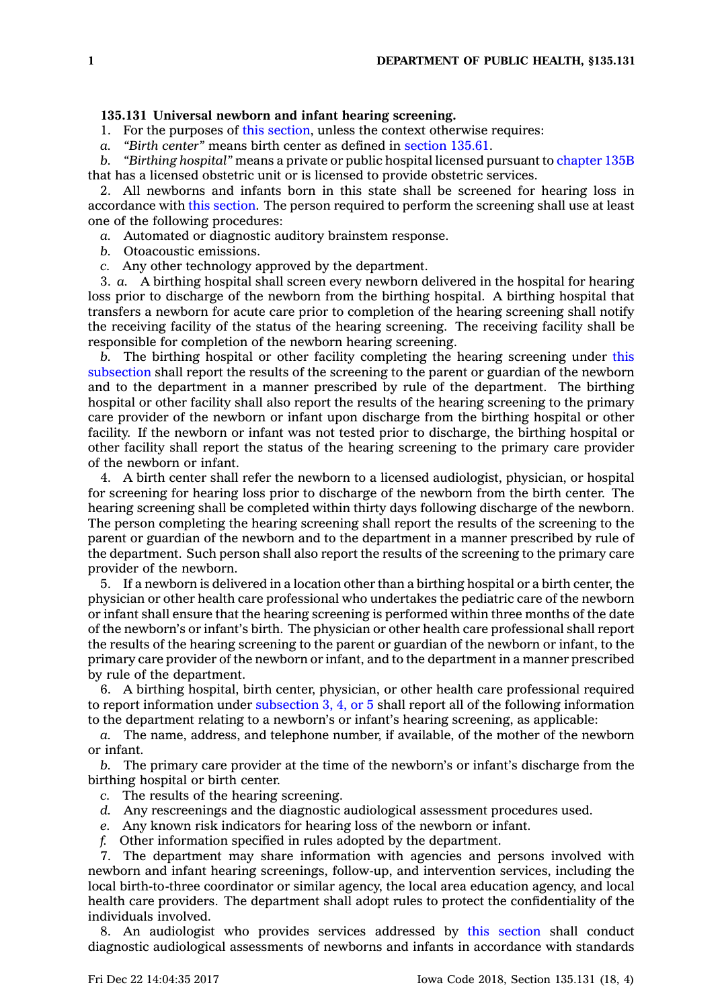## **135.131 Universal newborn and infant hearing screening.**

1. For the purposes of this [section](https://www.legis.iowa.gov/docs/code/135.131.pdf), unless the context otherwise requires:

*a. "Birth center"* means birth center as defined in [section](https://www.legis.iowa.gov/docs/code/135.61.pdf) 135.61.

*b. "Birthing hospital"* means <sup>a</sup> private or public hospital licensed pursuant to [chapter](https://www.legis.iowa.gov/docs/code//135B.pdf) 135B that has <sup>a</sup> licensed obstetric unit or is licensed to provide obstetric services.

2. All newborns and infants born in this state shall be screened for hearing loss in accordance with this [section](https://www.legis.iowa.gov/docs/code/135.131.pdf). The person required to perform the screening shall use at least one of the following procedures:

*a.* Automated or diagnostic auditory brainstem response.

*b.* Otoacoustic emissions.

*c.* Any other technology approved by the department.

3. *a.* A birthing hospital shall screen every newborn delivered in the hospital for hearing loss prior to discharge of the newborn from the birthing hospital. A birthing hospital that transfers <sup>a</sup> newborn for acute care prior to completion of the hearing screening shall notify the receiving facility of the status of the hearing screening. The receiving facility shall be responsible for completion of the newborn hearing screening.

*b.* The birthing hospital or other facility completing the hearing screening under [this](https://www.legis.iowa.gov/docs/code/135.131.pdf) [subsection](https://www.legis.iowa.gov/docs/code/135.131.pdf) shall report the results of the screening to the parent or guardian of the newborn and to the department in <sup>a</sup> manner prescribed by rule of the department. The birthing hospital or other facility shall also report the results of the hearing screening to the primary care provider of the newborn or infant upon discharge from the birthing hospital or other facility. If the newborn or infant was not tested prior to discharge, the birthing hospital or other facility shall report the status of the hearing screening to the primary care provider of the newborn or infant.

4. A birth center shall refer the newborn to <sup>a</sup> licensed audiologist, physician, or hospital for screening for hearing loss prior to discharge of the newborn from the birth center. The hearing screening shall be completed within thirty days following discharge of the newborn. The person completing the hearing screening shall report the results of the screening to the parent or guardian of the newborn and to the department in <sup>a</sup> manner prescribed by rule of the department. Such person shall also report the results of the screening to the primary care provider of the newborn.

5. If <sup>a</sup> newborn is delivered in <sup>a</sup> location other than <sup>a</sup> birthing hospital or <sup>a</sup> birth center, the physician or other health care professional who undertakes the pediatric care of the newborn or infant shall ensure that the hearing screening is performed within three months of the date of the newborn's or infant's birth. The physician or other health care professional shall report the results of the hearing screening to the parent or guardian of the newborn or infant, to the primary care provider of the newborn or infant, and to the department in <sup>a</sup> manner prescribed by rule of the department.

6. A birthing hospital, birth center, physician, or other health care professional required to report information under [subsection](https://www.legis.iowa.gov/docs/code/135.131.pdf) 3, 4, or 5 shall report all of the following information to the department relating to <sup>a</sup> newborn's or infant's hearing screening, as applicable:

*a.* The name, address, and telephone number, if available, of the mother of the newborn or infant.

*b.* The primary care provider at the time of the newborn's or infant's discharge from the birthing hospital or birth center.

- *c.* The results of the hearing screening.
- *d.* Any rescreenings and the diagnostic audiological assessment procedures used.
- *e.* Any known risk indicators for hearing loss of the newborn or infant.
- *f.* Other information specified in rules adopted by the department.

7. The department may share information with agencies and persons involved with newborn and infant hearing screenings, follow-up, and intervention services, including the local birth-to-three coordinator or similar agency, the local area education agency, and local health care providers. The department shall adopt rules to protect the confidentiality of the individuals involved.

8. An audiologist who provides services addressed by this [section](https://www.legis.iowa.gov/docs/code/135.131.pdf) shall conduct diagnostic audiological assessments of newborns and infants in accordance with standards